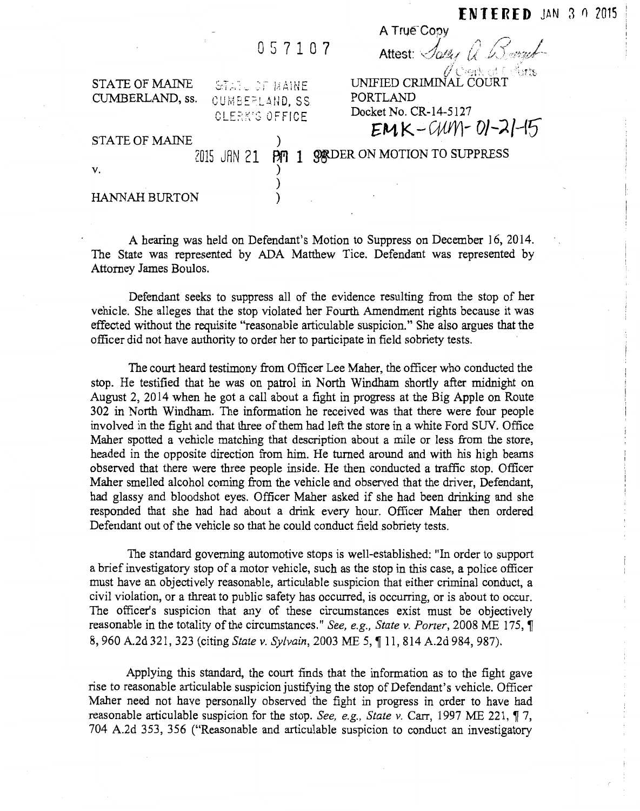|  | 057107 |  |  |
|--|--------|--|--|
|  |        |  |  |

| STATE OF MAINE  | istatu of maine       |
|-----------------|-----------------------|
| CUMBERLAND, ss. | CUMBEPLAND, SS.       |
|                 | <b>CLERK'S OFFICE</b> |

| Attest: Sally a Down   |
|------------------------|
| UNIFIED CRIMINAL COURT |
| PORTLAND               |
| Docket No. CR-14-5127  |
| $EMK-WW-W-1-21-15$     |

A True Copy  $\overline{\mathscr{P}}$  ,  $\overline{\mathscr{P}}$ 

| STATE OF MAINE |  | $\sim$                                        |
|----------------|--|-----------------------------------------------|
| V.             |  | 2015 JAN 21 PM 1 98 DER ON MOTION TO SUPPRESS |
|                |  |                                               |

)

HANNAH BURTON

A hearing was held on Defendant's Motion to Suppress on December 16, 2014. The State was represented by ADA Matthew Tice. Defendant was represented by Attorney James Boulos.

Defendant seeks to suppress all of the evidence resulting from the stop of her vehicle. She alleges that the stop violated her Fourth Amendment rights because it was effected without the requisite "reasonable articulable suspicion." She also argues that the officer did not have authority to order her to participate in field sobriety tests.

The court heard testimony from Officer Lee Maher, the officer who conducted the stop. He testified that he was on patrol in North Windham shortly after midnight on August 2, 20 14 when he got a call about a fight in progress at the Big Apple on Route 302 in North Windham. The information he received was that there were four people involved in the fight and that three of them had left the store in a white Ford SUV. Office Maher spotted a vehicle matching that description about a mile or less from the store, headed in the opposite direction from him. He turned around and with his high beams observed that there were three people inside. He then conducted a traffic stop. Officer Maher smelled alcohol coming from the vehicle and observed that the driver, Defendant, had glassy and bloodshot eyes. Officer Maher asked if she had been drinking and she responded that she had had about a drink every hour. Officer Maher then ordered Defendant out of the vehicle so that he could conduct field sobriety tests.

The standard governing automotive stops is well-established: "In order to support a brief investigatory stop of a motor vehicle, such as the stop in this case, a police officer must have an objectively reasonable, articulable suspicion that either criminal conduct, a civil violation, or a threat to public safety has occurred, is occurring, or is about to occur. The officer's suspicion that any of these circumstances exist must be objectively reasonable in the totality of the circumstances." *See, e.g., State v. Porter*, 2008 ME 175, ¶ 8, 960 A.2d 321,323 (citing *State v. SyLvain,* 2003 ME 5, ~ 11, 814 A.2d 984, 987).

Applying this standard, the court finds that the information as to the fight gave rise to reasonable articulable suspicion justifying the stop of Defendant's vehicle. Officer Maher need not have personally observed the fight in progress in order to have had reasonable articulable suspicion for the stop. *See, e.g., State v.* Carr, 1997 ME 221,  $\P$  7, 704 A.2d 353, 356 ("Reasonable and articulable suspicion to conduct an investigatory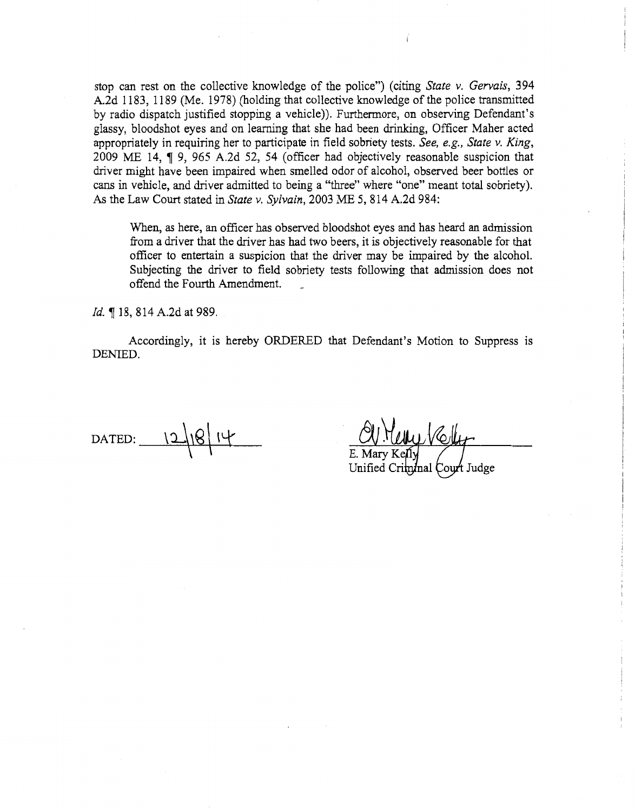stop can rest on the collective knowledge of the police") (citing *State v. Gervais,* 394 A.2d 1183, 1189 (Me. 1978) (holding that collective knowledge of the police transmitted by radio dispatch justified stopping a vehicle)). Furthermore, on observing Defendant's glassy, bloodshot eyes and on learning that she had been drinking, Officer Maher acted appropriately in requiring her to participate in field sobriety tests. *See, e.g., State v. King,*  2009 ME 14, ¶ 9, 965 A.2d 52, 54 (officer had objectively reasonable suspicion that driver might have been impaired when smelled odor of alcohol, observed beer bottles or cans in vehicle, and driver admitted to being a "three" where "one" meant total sobriety). As the Law Court stated in *State v. Sylvain,* 2003 ME 5, 814 A.2d 984:

When, as here, an officer has observed bloodshot eyes and has heard an admission from a driver that the driver has had two beers, it is objectively reasonable for that officer to entertain a suspicion that the driver may be impaired by the alcohol. Subjecting the driver to field sobriety tests following that admission does not offend the Fourth Amendment.

Id. ¶ 18, 814 A.2d at 989.

Accordingly, it is hereby ORDERED that Defendant's Motion to Suppress is DENIED.

DATED: \_\'-=:l.J=+-'~ **\-=-g \t-\\_t\_** \ \

Unified (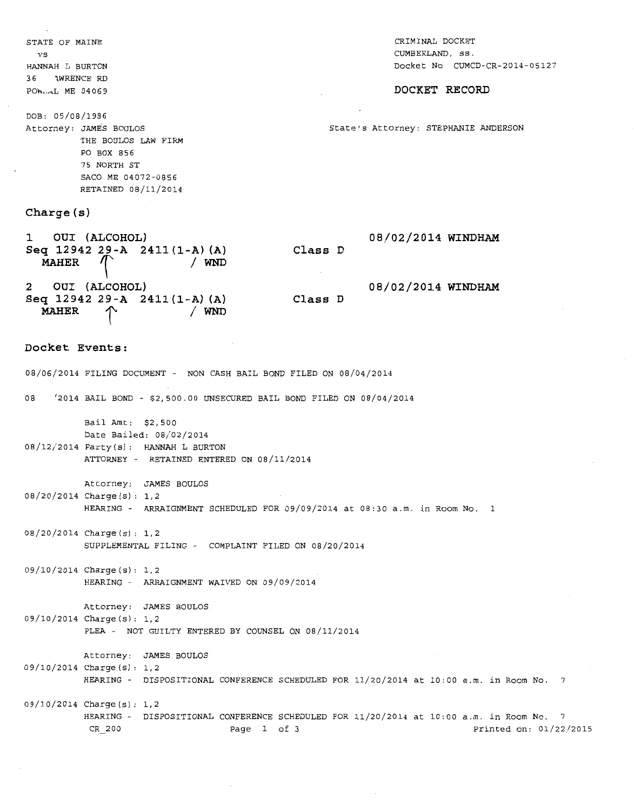STATE OF MAINE VS HANNAH L BURTON 3 6 "\WRENCE RD POh...-L ME 04069 CRIMINAL DOCKET CUMBERLAND, ss. Docket No CUMCD-CR-2014-05127 **DOCKET RECORD**  DOB: 05/08/1986 Attorney: JAMES BOULOS State's Attorney: STEPHANIE ANDERSON THE BOULOS LAW FIRM PO BOX 856 75 NORTH ST SACO ME 04072-0856 RETAINED 08/11/2014 **Charge (s) 1 OUI (ALCOHOL) Seq 12942 29-A 2411 (1-A) (A) MAHER** '\ <sup>I</sup>**WND 2 OUI (ALCOHOL) Seq 12942 29-A 2411 (1-A) (A) MAHER**  $\uparrow$  / WND **Docket Events: 08/0212014 WINDHAM Class D 08102/2014 WINDHAM Class D**  08/06/2014 FILING DOCUMENT - NON CASH BAIL BOND FILED ON 08/04/2014 08 <sup>1</sup> 2014 BAIL BOND- \$2,500.00 UNSECURED BAIL BOND FILED ON 08/04/2014 Bail Amt: \$2,500 Date Bailed: 08/02/2014 08/12/2014 Party(s): HANNAH L BURTON ATTORNEY - RETAINED ENTERED ON 08/11/2014 Attorney: JAMES BOULOS 08/20/2014 Charge (s): 1, 2 HEARING- ARRAIGNMENT SCHEDULED FOR 09/09/2014 at 08:30 a.m. in Room No. 1 OB/20/2014 Charge (s) : 1, 2 SUPPLEMENTAL FILING - COMPLAINT FILED ON 08/20/2014 09/10/2014 Charge (s): 1, 2 HEARING - ARRAIGNMENT WAIVED ON 09/09/2014 Attorney: JAMES BOULOS 09/10/2014 Charge(s): 1,2 PLEA - NOT GUILTY ENTERED BY COUNSEL ON 08/11/2014 Attorney: JAMES BOULOS 09/10/2014 Charge (s): 1, 2 HEARING - DISPOSITIONAL CONFERENCE SCHEDULED FOR 11/20/2014 at 10:00 a.m. in Room No. 7 09/J 0/2014 Charge (s): 1, 2 HEARING - DISPOSITIONAL CONFERENCE SCHEDULED FOR 11/20/2014 at 10:00 a.m. in Room No. 7 CR 200 Page 1 of 3 Printed on: 01/22/2015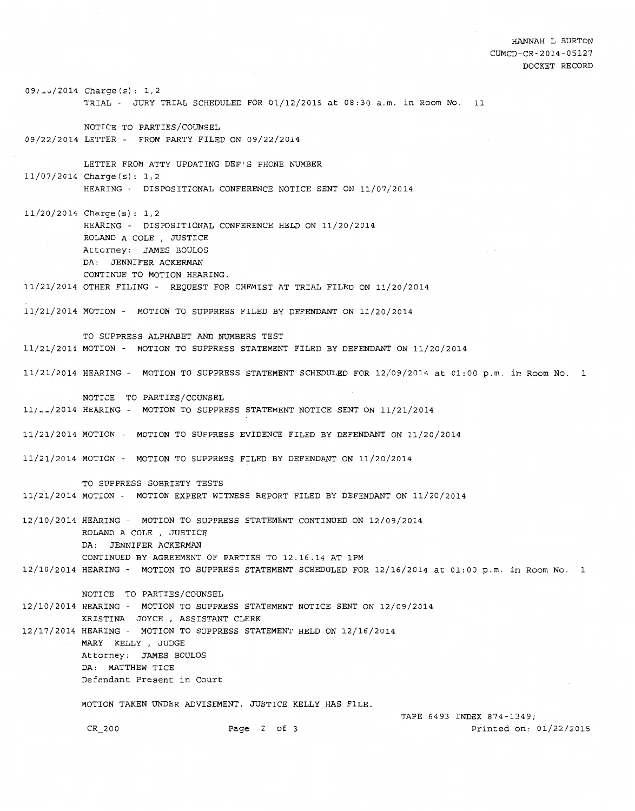HANNAH L BURTON CUMCD-CR-2014-05127 DOCKET RECORD

09/~v/2014 Charge(s): 1,2 TRIAL - JURY TRIAL SCHEDULED FOR 01/12/2015 at 08:30 a.m. in Room No. 11 NOTICE TO PARTIES/COUNSEL 09/22/2014 LETTER - FROM PARTY FILED ON 09/22/2014 LETTER FROM ATTY UPDATING DEF'S PHONE NUMBER 11/07/2014 Charge(s): 1,2 HEARING - DISPOSITIONAL CONFERENCE NOTICE SENT ON 11/07/2014 11/20/2014 Charge(s): 1,2 HEARING - DISPOSITIONAL CONFERENCE HELD ON 11/20/2014 ROLAND A COLE , JUSTICE Attorney: JAMES BOULOS DA: JENNIFER ACKERMAN CONTINUE TO MOTION HEARING. 11/21/2014 OTHER FILING - REQUEST FOR CHEMIST AT TRIAL FILED ON 11/20/2014 11/21/2014 MOTION - MOTION TO SUPPRESS FILED BY DEFENDANT ON 11/20/2014 TO SUPPRESS ALPHABET AND NUMBERS TEST 11/21/2014 MOTION - MOTION TO SUPPRESS STATEMENT FILED BY DEFENDANT ON 11/20/2014 11/21/2014 HEARING - MOTION TO SUPPRESS STATEMENT SCHEDULED FOR 12/09/2014 at 01:00 p.m. *in* Room No. 1 NOTICE TO PARTIES/COUNSEL  $11/\sim2014$  HEARING - MOTION TO SUPPRESS STATEMENT NOTICE SENT ON  $11/21/2014$ 11/21/2014 MOTION - MOTION TO SUPPRESS EVIDENCE FILED BY DEFENDANT ON 11/20/2014 11/21/2014 MOTION - MOTION TO SUPPRESS FILED BY DEFENDANT ON 11/20/2014 TO SUPPRESS SOBRIETY TESTS 11/21/2014 MOTION - MOTION EXPERT WITNESS REPORT FILED BY DEFENDANT ON 11/20/2014 12/10/2014 HEARING - MOTION TO SUPPRESS STATEMENT CONTINUED ON 12/09/2014 ROLAND A COLE , JUSTICE DA: JENNIFER ACKERMAN CONTINUED BY AGREEMENT OF PARTIES TO 12.16.14 AT 1PM 12/10/2014 HEARING - MOTION TO SUPPRESS STATEMENT SCHEDULED FOR 12/16/2014 at 01:00p.m. *in* Room No. 1 NOTICE TO PARTIES/COUNSEL 12/10/2014 HEARING - MOTION TO SUPPRESS STATEMENT NOTICE SENT ON 12/09/2014 KRISTINA JOYCE , ASSISTANT CLERK 12/17/2014 HEARING- MOTION TO SUPPRESS STATEMENT HELD ON 12/16/2014 MARY KELLY , JUDGE Attorney: JAMES BOULOS DA: MATTHEW TICE Defendant Present in Court MOTION TAKEN UNDER ADVISEMENT. JUSTICE KELLY HAS FILE. TAPE 6493 INDEX 874-1349; CR 200 Page 2 of 3 Printed on: 01/22/2015